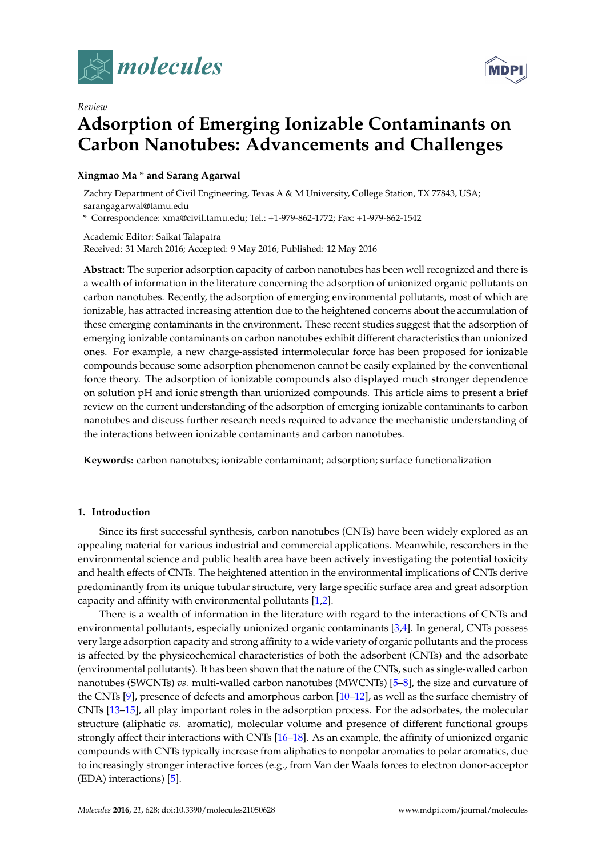

*Review*



# **Adsorption of Emerging Ionizable Contaminants on Carbon Nanotubes: Advancements and Challenges**

# **Xingmao Ma \* and Sarang Agarwal**

Zachry Department of Civil Engineering, Texas A & M University, College Station, TX 77843, USA; sarangagarwal@tamu.edu

**\*** Correspondence: xma@civil.tamu.edu; Tel.: +1-979-862-1772; Fax: +1-979-862-1542

Academic Editor: Saikat Talapatra Received: 31 March 2016; Accepted: 9 May 2016; Published: 12 May 2016

**Abstract:** The superior adsorption capacity of carbon nanotubes has been well recognized and there is a wealth of information in the literature concerning the adsorption of unionized organic pollutants on carbon nanotubes. Recently, the adsorption of emerging environmental pollutants, most of which are ionizable, has attracted increasing attention due to the heightened concerns about the accumulation of these emerging contaminants in the environment. These recent studies suggest that the adsorption of emerging ionizable contaminants on carbon nanotubes exhibit different characteristics than unionized ones. For example, a new charge-assisted intermolecular force has been proposed for ionizable compounds because some adsorption phenomenon cannot be easily explained by the conventional force theory. The adsorption of ionizable compounds also displayed much stronger dependence on solution pH and ionic strength than unionized compounds. This article aims to present a brief review on the current understanding of the adsorption of emerging ionizable contaminants to carbon nanotubes and discuss further research needs required to advance the mechanistic understanding of the interactions between ionizable contaminants and carbon nanotubes.

**Keywords:** carbon nanotubes; ionizable contaminant; adsorption; surface functionalization

# **1. Introduction**

Since its first successful synthesis, carbon nanotubes (CNTs) have been widely explored as an appealing material for various industrial and commercial applications. Meanwhile, researchers in the environmental science and public health area have been actively investigating the potential toxicity and health effects of CNTs. The heightened attention in the environmental implications of CNTs derive predominantly from its unique tubular structure, very large specific surface area and great adsorption capacity and affinity with environmental pollutants [\[1](#page-7-0)[,2\]](#page-7-1).

There is a wealth of information in the literature with regard to the interactions of CNTs and environmental pollutants, especially unionized organic contaminants [\[3,](#page-7-2)[4\]](#page-7-3). In general, CNTs possess very large adsorption capacity and strong affinity to a wide variety of organic pollutants and the process is affected by the physicochemical characteristics of both the adsorbent (CNTs) and the adsorbate (environmental pollutants). It has been shown that the nature of the CNTs, such as single-walled carbon nanotubes (SWCNTs) *vs.* multi-walled carbon nanotubes (MWCNTs) [\[5](#page-7-4)[–8\]](#page-7-5), the size and curvature of the CNTs [\[9\]](#page-7-6), presence of defects and amorphous carbon [\[10–](#page-7-7)[12\]](#page-7-8), as well as the surface chemistry of CNTs [\[13–](#page-7-9)[15\]](#page-8-0), all play important roles in the adsorption process. For the adsorbates, the molecular structure (aliphatic *vs.* aromatic), molecular volume and presence of different functional groups strongly affect their interactions with CNTs [\[16–](#page-8-1)[18\]](#page-8-2). As an example, the affinity of unionized organic compounds with CNTs typically increase from aliphatics to nonpolar aromatics to polar aromatics, due to increasingly stronger interactive forces (e.g., from Van der Waals forces to electron donor-acceptor (EDA) interactions) [\[5\]](#page-7-4).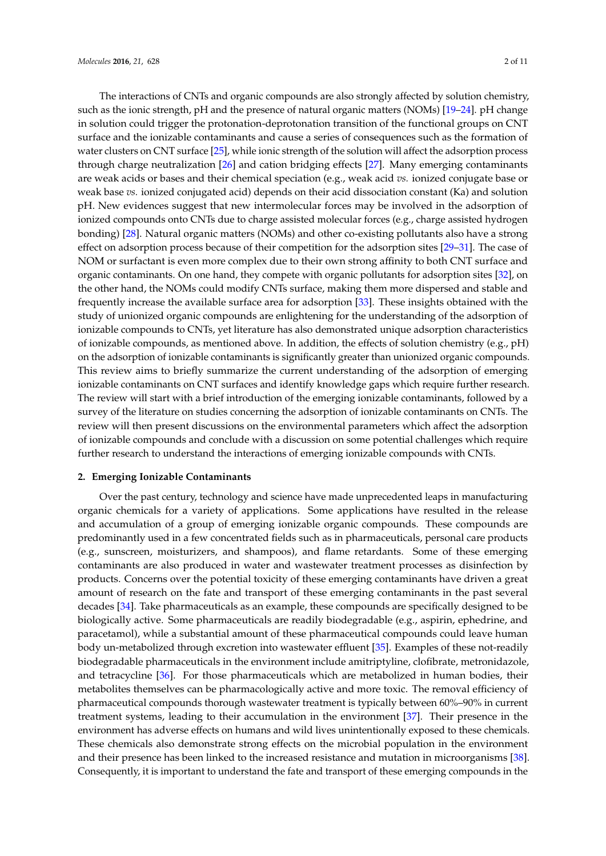The interactions of CNTs and organic compounds are also strongly affected by solution chemistry, such as the ionic strength, pH and the presence of natural organic matters (NOMs) [\[19–](#page-8-3)[24\]](#page-8-4). pH change in solution could trigger the protonation-deprotonation transition of the functional groups on CNT surface and the ionizable contaminants and cause a series of consequences such as the formation of water clusters on CNT surface [\[25\]](#page-8-5), while ionic strength of the solution will affect the adsorption process through charge neutralization [\[26\]](#page-8-6) and cation bridging effects [\[27\]](#page-8-7). Many emerging contaminants are weak acids or bases and their chemical speciation (e.g., weak acid *vs.* ionized conjugate base or weak base *vs.* ionized conjugated acid) depends on their acid dissociation constant (Ka) and solution pH. New evidences suggest that new intermolecular forces may be involved in the adsorption of ionized compounds onto CNTs due to charge assisted molecular forces (e.g., charge assisted hydrogen bonding) [\[28\]](#page-8-8). Natural organic matters (NOMs) and other co-existing pollutants also have a strong effect on adsorption process because of their competition for the adsorption sites [\[29](#page-8-9)[–31\]](#page-8-10). The case of NOM or surfactant is even more complex due to their own strong affinity to both CNT surface and organic contaminants. On one hand, they compete with organic pollutants for adsorption sites [\[32\]](#page-8-11), on the other hand, the NOMs could modify CNTs surface, making them more dispersed and stable and frequently increase the available surface area for adsorption [\[33\]](#page-8-12). These insights obtained with the study of unionized organic compounds are enlightening for the understanding of the adsorption of ionizable compounds to CNTs, yet literature has also demonstrated unique adsorption characteristics of ionizable compounds, as mentioned above. In addition, the effects of solution chemistry (e.g., pH) on the adsorption of ionizable contaminants is significantly greater than unionized organic compounds. This review aims to briefly summarize the current understanding of the adsorption of emerging ionizable contaminants on CNT surfaces and identify knowledge gaps which require further research. The review will start with a brief introduction of the emerging ionizable contaminants, followed by a survey of the literature on studies concerning the adsorption of ionizable contaminants on CNTs. The review will then present discussions on the environmental parameters which affect the adsorption of ionizable compounds and conclude with a discussion on some potential challenges which require further research to understand the interactions of emerging ionizable compounds with CNTs.

#### **2. Emerging Ionizable Contaminants**

Over the past century, technology and science have made unprecedented leaps in manufacturing organic chemicals for a variety of applications. Some applications have resulted in the release and accumulation of a group of emerging ionizable organic compounds. These compounds are predominantly used in a few concentrated fields such as in pharmaceuticals, personal care products (e.g., sunscreen, moisturizers, and shampoos), and flame retardants. Some of these emerging contaminants are also produced in water and wastewater treatment processes as disinfection by products. Concerns over the potential toxicity of these emerging contaminants have driven a great amount of research on the fate and transport of these emerging contaminants in the past several decades [\[34\]](#page-8-13). Take pharmaceuticals as an example, these compounds are specifically designed to be biologically active. Some pharmaceuticals are readily biodegradable (e.g., aspirin, ephedrine, and paracetamol), while a substantial amount of these pharmaceutical compounds could leave human body un-metabolized through excretion into wastewater effluent [\[35\]](#page-8-14). Examples of these not-readily biodegradable pharmaceuticals in the environment include amitriptyline, clofibrate, metronidazole, and tetracycline [\[36\]](#page-8-15). For those pharmaceuticals which are metabolized in human bodies, their metabolites themselves can be pharmacologically active and more toxic. The removal efficiency of pharmaceutical compounds thorough wastewater treatment is typically between 60%–90% in current treatment systems, leading to their accumulation in the environment [\[37\]](#page-8-16). Their presence in the environment has adverse effects on humans and wild lives unintentionally exposed to these chemicals. These chemicals also demonstrate strong effects on the microbial population in the environment and their presence has been linked to the increased resistance and mutation in microorganisms [\[38\]](#page-9-0). Consequently, it is important to understand the fate and transport of these emerging compounds in the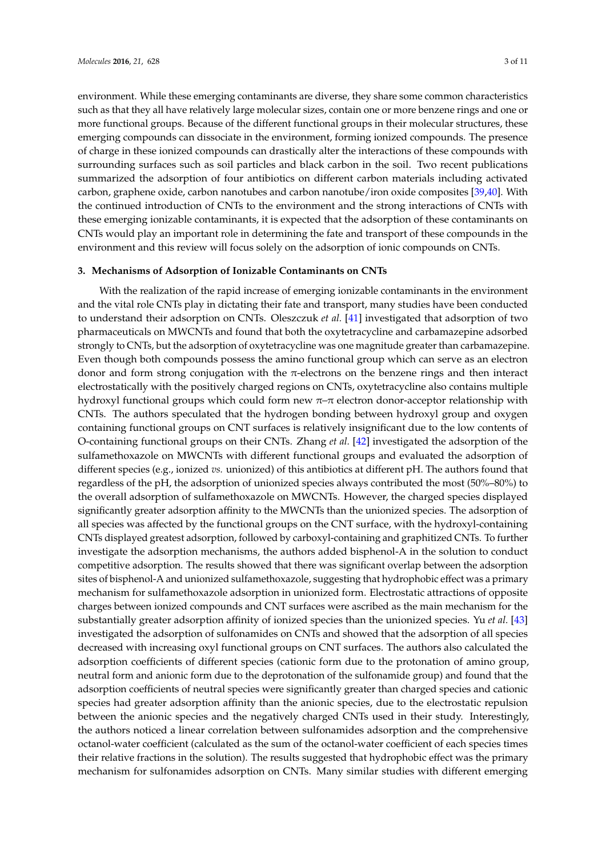environment. While these emerging contaminants are diverse, they share some common characteristics such as that they all have relatively large molecular sizes, contain one or more benzene rings and one or more functional groups. Because of the different functional groups in their molecular structures, these emerging compounds can dissociate in the environment, forming ionized compounds. The presence of charge in these ionized compounds can drastically alter the interactions of these compounds with surrounding surfaces such as soil particles and black carbon in the soil. Two recent publications summarized the adsorption of four antibiotics on different carbon materials including activated carbon, graphene oxide, carbon nanotubes and carbon nanotube/iron oxide composites [\[39,](#page-9-1)[40\]](#page-9-2). With the continued introduction of CNTs to the environment and the strong interactions of CNTs with these emerging ionizable contaminants, it is expected that the adsorption of these contaminants on CNTs would play an important role in determining the fate and transport of these compounds in the environment and this review will focus solely on the adsorption of ionic compounds on CNTs.

### **3. Mechanisms of Adsorption of Ionizable Contaminants on CNTs**

With the realization of the rapid increase of emerging ionizable contaminants in the environment and the vital role CNTs play in dictating their fate and transport, many studies have been conducted to understand their adsorption on CNTs. Oleszczuk *et al.* [\[41\]](#page-9-3) investigated that adsorption of two pharmaceuticals on MWCNTs and found that both the oxytetracycline and carbamazepine adsorbed strongly to CNTs, but the adsorption of oxytetracycline was one magnitude greater than carbamazepine. Even though both compounds possess the amino functional group which can serve as an electron donor and form strong conjugation with the  $\pi$ -electrons on the benzene rings and then interact electrostatically with the positively charged regions on CNTs, oxytetracycline also contains multiple hydroxyl functional groups which could form new  $π$ -π electron donor-acceptor relationship with CNTs. The authors speculated that the hydrogen bonding between hydroxyl group and oxygen containing functional groups on CNT surfaces is relatively insignificant due to the low contents of O-containing functional groups on their CNTs. Zhang *et al.* [\[42\]](#page-9-4) investigated the adsorption of the sulfamethoxazole on MWCNTs with different functional groups and evaluated the adsorption of different species (e.g., ionized *vs.* unionized) of this antibiotics at different pH. The authors found that regardless of the pH, the adsorption of unionized species always contributed the most (50%–80%) to the overall adsorption of sulfamethoxazole on MWCNTs. However, the charged species displayed significantly greater adsorption affinity to the MWCNTs than the unionized species. The adsorption of all species was affected by the functional groups on the CNT surface, with the hydroxyl-containing CNTs displayed greatest adsorption, followed by carboxyl-containing and graphitized CNTs. To further investigate the adsorption mechanisms, the authors added bisphenol-A in the solution to conduct competitive adsorption. The results showed that there was significant overlap between the adsorption sites of bisphenol-A and unionized sulfamethoxazole, suggesting that hydrophobic effect was a primary mechanism for sulfamethoxazole adsorption in unionized form. Electrostatic attractions of opposite charges between ionized compounds and CNT surfaces were ascribed as the main mechanism for the substantially greater adsorption affinity of ionized species than the unionized species. Yu *et al.* [\[43\]](#page-9-5) investigated the adsorption of sulfonamides on CNTs and showed that the adsorption of all species decreased with increasing oxyl functional groups on CNT surfaces. The authors also calculated the adsorption coefficients of different species (cationic form due to the protonation of amino group, neutral form and anionic form due to the deprotonation of the sulfonamide group) and found that the adsorption coefficients of neutral species were significantly greater than charged species and cationic species had greater adsorption affinity than the anionic species, due to the electrostatic repulsion between the anionic species and the negatively charged CNTs used in their study. Interestingly, the authors noticed a linear correlation between sulfonamides adsorption and the comprehensive octanol-water coefficient (calculated as the sum of the octanol-water coefficient of each species times their relative fractions in the solution). The results suggested that hydrophobic effect was the primary mechanism for sulfonamides adsorption on CNTs. Many similar studies with different emerging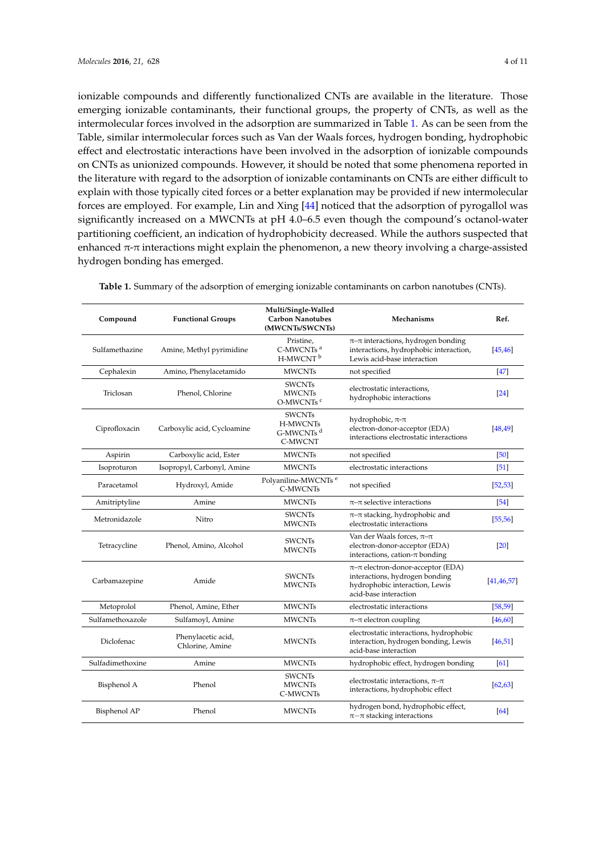ionizable compounds and differently functionalized CNTs are available in the literature. Those emerging ionizable contaminants, their functional groups, the property of CNTs, as well as the intermolecular forces involved in the adsorption are summarized in Table [1.](#page-4-0) As can be seen from the Table, similar intermolecular forces such as Van der Waals forces, hydrogen bonding, hydrophobic effect and electrostatic interactions have been involved in the adsorption of ionizable compounds on CNTs as unionized compounds. However, it should be noted that some phenomena reported in the literature with regard to the adsorption of ionizable contaminants on CNTs are either difficult to explain with those typically cited forces or a better explanation may be provided if new intermolecular forces are employed. For example, Lin and Xing [\[44\]](#page-9-6) noticed that the adsorption of pyrogallol was significantly increased on a MWCNTs at pH 4.0–6.5 even though the compound's octanol-water partitioning coefficient, an indication of hydrophobicity decreased. While the authors suspected that enhanced  $\pi$ - $\pi$  interactions might explain the phenomenon, a new theory involving a charge-assisted hydrogen bonding has emerged.

| Compound                      | <b>Functional Groups</b>              | Multi/Single-Walled<br><b>Carbon Nanotubes</b><br>(MWCNTs/SWCNTs) | Mechanisms                                                                                                                               | Ref.               |
|-------------------------------|---------------------------------------|-------------------------------------------------------------------|------------------------------------------------------------------------------------------------------------------------------------------|--------------------|
| Sulfamethazine                | Amine, Methyl pyrimidine              | Pristine,<br>C-MWCNTs <sup>a</sup><br>H-MWCNT <sup>b</sup>        | $\pi$ - $\pi$ interactions, hydrogen bonding<br>interactions, hydrophobic interaction,<br>Lewis acid-base interaction                    | [45, 46]           |
| Cephalexin                    | Amino, Phenylacetamido                | <b>MWCNTs</b>                                                     | not specified                                                                                                                            | $[47]$             |
| Triclosan<br>Phenol, Chlorine |                                       | <b>SWCNTs</b><br><b>MWCNTs</b><br>O-MWCNTs <sup>e</sup>           | electrostatic interactions,<br>hydrophobic interactions                                                                                  | $\sqrt{24}$        |
| Ciprofloxacin                 | Carboxylic acid, Cycloamine           | <b>SWCNTs</b><br>H-MWCNTs<br>G-MWCNTs <sup>d</sup><br>C-MWCNT     | hydrophobic, $\pi$ - $\pi$<br>electron-donor-acceptor (EDA)<br>interactions electrostatic interactions                                   | [48, 49]           |
| Aspirin                       | Carboxylic acid, Ester                | <b>MWCNTs</b>                                                     | not specified                                                                                                                            | $[50]$             |
| Isoproturon                   | Isopropyl, Carbonyl, Amine            | <b>MWCNTs</b>                                                     | electrostatic interactions                                                                                                               | $\left[51\right]$  |
| Paracetamol                   | Hydroxyl, Amide                       | Polyaniline-MWCNTs <sup>e</sup><br>C-MWCNTs                       | not specified                                                                                                                            | [52, 53]           |
| Amitriptyline                 | Amine                                 | <b>MWCNTs</b>                                                     | $\pi$ - $\pi$ selective interactions                                                                                                     | [54]               |
| Metronidazole                 | Nitro                                 | <b>SWCNTs</b><br><b>MWCNTs</b>                                    | $\pi$ - $\pi$ stacking, hydrophobic and<br>electrostatic interactions                                                                    | [55, 56]           |
| Tetracycline                  | Phenol, Amino, Alcohol                | <b>SWCNTs</b><br><b>MWCNTs</b>                                    | Van der Waals forces, $\pi$ - $\pi$<br>electron-donor-acceptor (EDA)<br>interactions, cation- $\pi$ bonding                              | $\left[20\right]$  |
| Carbamazepine<br>Amide        |                                       | <b>SWCNTs</b><br><b>MWCNTs</b>                                    | $\pi$ - $\pi$ electron-donor-acceptor (EDA)<br>interactions, hydrogen bonding<br>hydrophobic interaction, Lewis<br>acid-base interaction | [41, 46, 57]       |
| Metoprolol                    | Phenol, Amine, Ether                  | <b>MWCNTs</b>                                                     | electrostatic interactions                                                                                                               | [58, 59]           |
| Sulfamethoxazole              | Sulfamoyl, Amine                      | <b>MWCNTs</b>                                                     | $\pi$ - $\pi$ electron coupling                                                                                                          | [46, 60]           |
| Diclofenac                    | Phenylacetic acid,<br>Chlorine, Amine | <b>MWCNTs</b>                                                     | electrostatic interactions, hydrophobic<br>interaction, hydrogen bonding, Lewis<br>acid-base interaction                                 | [46, 51]           |
| Sulfadimethoxine              | Amine                                 | <b>MWCNTs</b>                                                     | hydrophobic effect, hydrogen bonding                                                                                                     | $\lceil 61 \rceil$ |
| Bisphenol A<br>Phenol         |                                       | <b>SWCNTs</b><br><b>MWCNTs</b><br>C-MWCNTs                        | electrostatic interactions, $\pi-\pi$<br>interactions, hydrophobic effect                                                                | [62, 63]           |
| Bisphenol AP                  | Phenol                                | <b>MWCNTs</b>                                                     | hydrogen bond, hydrophobic effect,<br>$\pi-\pi$ stacking interactions                                                                    | [64]               |

**Table 1.** Summary of the adsorption of emerging ionizable contaminants on carbon nanotubes (CNTs).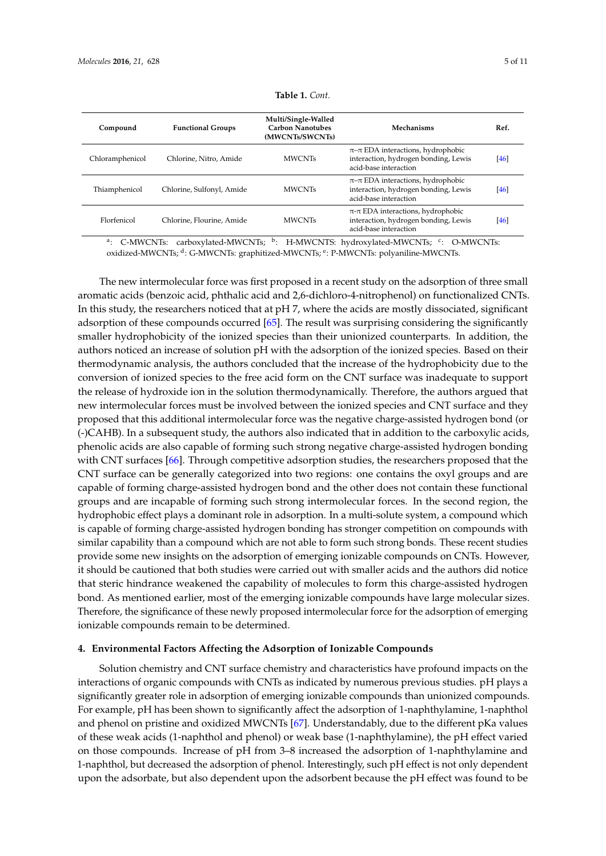<span id="page-4-0"></span>

| Compound        | <b>Functional Groups</b>  | Multi/Single-Walled<br><b>Carbon Nanotubes</b><br>(MWCNTs/SWCNTs) | Mechanisms                                                                                                   | Ref. |
|-----------------|---------------------------|-------------------------------------------------------------------|--------------------------------------------------------------------------------------------------------------|------|
| Chloramphenicol | Chlorine, Nitro, Amide    | <b>MWCNTs</b>                                                     | $\pi$ – $\pi$ EDA interactions, hydrophobic<br>interaction, hydrogen bonding, Lewis<br>acid-base interaction | [46] |
| Thiamphenicol   | Chlorine, Sulfonyl, Amide | <b>MWCNTs</b>                                                     | $\pi$ – $\pi$ EDA interactions, hydrophobic<br>interaction, hydrogen bonding, Lewis<br>acid-base interaction | [46] |
| Florfenicol     | Chlorine. Flourine. Amide | <b>MWCNTs</b>                                                     | $\pi$ - $\pi$ EDA interactions, hydrophobic<br>interaction, hydrogen bonding, Lewis<br>acid-base interaction | [46] |

|  | <b>Table 1.</b> Cont. |
|--|-----------------------|
|  |                       |

<sup>a</sup>: C-MWCNTs: carboxylated-MWCNTs; <sup>b</sup>: H-MWCNTS: hydroxylated-MWCNTs; <sup>c</sup>: O-MWCNTs: oxidized-MWCNTs; <sup>d</sup> : G-MWCNTs: graphitized-MWCNTs; <sup>e</sup> : P-MWCNTs: polyaniline-MWCNTs.

The new intermolecular force was first proposed in a recent study on the adsorption of three small aromatic acids (benzoic acid, phthalic acid and 2,6-dichloro-4-nitrophenol) on functionalized CNTs. In this study, the researchers noticed that at pH 7, where the acids are mostly dissociated, significant adsorption of these compounds occurred [\[65\]](#page-10-7). The result was surprising considering the significantly smaller hydrophobicity of the ionized species than their unionized counterparts. In addition, the authors noticed an increase of solution pH with the adsorption of the ionized species. Based on their thermodynamic analysis, the authors concluded that the increase of the hydrophobicity due to the conversion of ionized species to the free acid form on the CNT surface was inadequate to support the release of hydroxide ion in the solution thermodynamically. Therefore, the authors argued that new intermolecular forces must be involved between the ionized species and CNT surface and they proposed that this additional intermolecular force was the negative charge-assisted hydrogen bond (or (-)CAHB). In a subsequent study, the authors also indicated that in addition to the carboxylic acids, phenolic acids are also capable of forming such strong negative charge-assisted hydrogen bonding with CNT surfaces [\[66\]](#page-10-8). Through competitive adsorption studies, the researchers proposed that the CNT surface can be generally categorized into two regions: one contains the oxyl groups and are capable of forming charge-assisted hydrogen bond and the other does not contain these functional groups and are incapable of forming such strong intermolecular forces. In the second region, the hydrophobic effect plays a dominant role in adsorption. In a multi-solute system, a compound which is capable of forming charge-assisted hydrogen bonding has stronger competition on compounds with similar capability than a compound which are not able to form such strong bonds. These recent studies provide some new insights on the adsorption of emerging ionizable compounds on CNTs. However, it should be cautioned that both studies were carried out with smaller acids and the authors did notice that steric hindrance weakened the capability of molecules to form this charge-assisted hydrogen bond. As mentioned earlier, most of the emerging ionizable compounds have large molecular sizes. Therefore, the significance of these newly proposed intermolecular force for the adsorption of emerging ionizable compounds remain to be determined.

# **4. Environmental Factors Affecting the Adsorption of Ionizable Compounds**

Solution chemistry and CNT surface chemistry and characteristics have profound impacts on the interactions of organic compounds with CNTs as indicated by numerous previous studies. pH plays a significantly greater role in adsorption of emerging ionizable compounds than unionized compounds. For example, pH has been shown to significantly affect the adsorption of 1-naphthylamine, 1-naphthol and phenol on pristine and oxidized MWCNTs [\[67\]](#page-10-9). Understandably, due to the different pKa values of these weak acids (1-naphthol and phenol) or weak base (1-naphthylamine), the pH effect varied on those compounds. Increase of pH from 3–8 increased the adsorption of 1-naphthylamine and 1-naphthol, but decreased the adsorption of phenol. Interestingly, such pH effect is not only dependent upon the adsorbate, but also dependent upon the adsorbent because the pH effect was found to be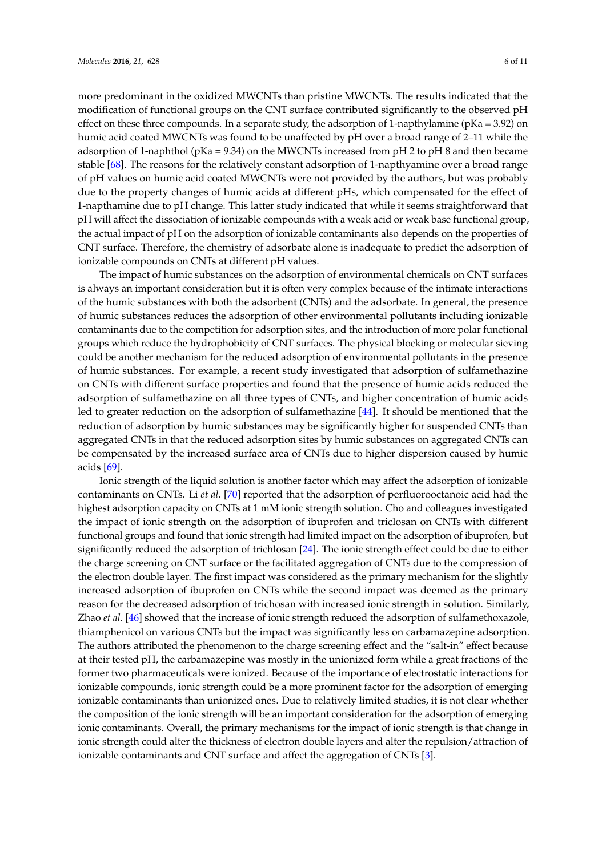more predominant in the oxidized MWCNTs than pristine MWCNTs. The results indicated that the modification of functional groups on the CNT surface contributed significantly to the observed pH effect on these three compounds. In a separate study, the adsorption of 1-napthylamine ( $pKa = 3.92$ ) on humic acid coated MWCNTs was found to be unaffected by pH over a broad range of 2–11 while the adsorption of 1-naphthol ( $pKa = 9.34$ ) on the MWCNTs increased from  $pH 2$  to  $pH 8$  and then became stable [\[68\]](#page-10-10). The reasons for the relatively constant adsorption of 1-napthyamine over a broad range of pH values on humic acid coated MWCNTs were not provided by the authors, but was probably due to the property changes of humic acids at different pHs, which compensated for the effect of 1-napthamine due to pH change. This latter study indicated that while it seems straightforward that pH will affect the dissociation of ionizable compounds with a weak acid or weak base functional group, the actual impact of pH on the adsorption of ionizable contaminants also depends on the properties of CNT surface. Therefore, the chemistry of adsorbate alone is inadequate to predict the adsorption of ionizable compounds on CNTs at different pH values.

The impact of humic substances on the adsorption of environmental chemicals on CNT surfaces is always an important consideration but it is often very complex because of the intimate interactions of the humic substances with both the adsorbent (CNTs) and the adsorbate. In general, the presence of humic substances reduces the adsorption of other environmental pollutants including ionizable contaminants due to the competition for adsorption sites, and the introduction of more polar functional groups which reduce the hydrophobicity of CNT surfaces. The physical blocking or molecular sieving could be another mechanism for the reduced adsorption of environmental pollutants in the presence of humic substances. For example, a recent study investigated that adsorption of sulfamethazine on CNTs with different surface properties and found that the presence of humic acids reduced the adsorption of sulfamethazine on all three types of CNTs, and higher concentration of humic acids led to greater reduction on the adsorption of sulfamethazine [\[44\]](#page-9-6). It should be mentioned that the reduction of adsorption by humic substances may be significantly higher for suspended CNTs than aggregated CNTs in that the reduced adsorption sites by humic substances on aggregated CNTs can be compensated by the increased surface area of CNTs due to higher dispersion caused by humic acids [\[69\]](#page-10-11).

Ionic strength of the liquid solution is another factor which may affect the adsorption of ionizable contaminants on CNTs. Li *et al.* [\[70\]](#page-10-12) reported that the adsorption of perfluorooctanoic acid had the highest adsorption capacity on CNTs at 1 mM ionic strength solution. Cho and colleagues investigated the impact of ionic strength on the adsorption of ibuprofen and triclosan on CNTs with different functional groups and found that ionic strength had limited impact on the adsorption of ibuprofen, but significantly reduced the adsorption of trichlosan [\[24\]](#page-8-4). The ionic strength effect could be due to either the charge screening on CNT surface or the facilitated aggregation of CNTs due to the compression of the electron double layer. The first impact was considered as the primary mechanism for the slightly increased adsorption of ibuprofen on CNTs while the second impact was deemed as the primary reason for the decreased adsorption of trichosan with increased ionic strength in solution. Similarly, Zhao *et al.* [\[46\]](#page-9-8) showed that the increase of ionic strength reduced the adsorption of sulfamethoxazole, thiamphenicol on various CNTs but the impact was significantly less on carbamazepine adsorption. The authors attributed the phenomenon to the charge screening effect and the "salt-in" effect because at their tested pH, the carbamazepine was mostly in the unionized form while a great fractions of the former two pharmaceuticals were ionized. Because of the importance of electrostatic interactions for ionizable compounds, ionic strength could be a more prominent factor for the adsorption of emerging ionizable contaminants than unionized ones. Due to relatively limited studies, it is not clear whether the composition of the ionic strength will be an important consideration for the adsorption of emerging ionic contaminants. Overall, the primary mechanisms for the impact of ionic strength is that change in ionic strength could alter the thickness of electron double layers and alter the repulsion/attraction of ionizable contaminants and CNT surface and affect the aggregation of CNTs [\[3\]](#page-7-2).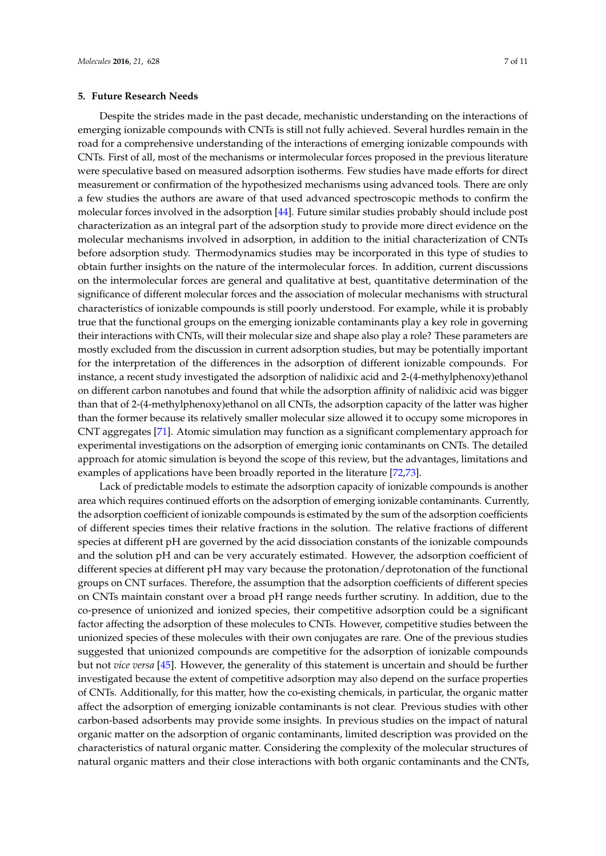Despite the strides made in the past decade, mechanistic understanding on the interactions of emerging ionizable compounds with CNTs is still not fully achieved. Several hurdles remain in the road for a comprehensive understanding of the interactions of emerging ionizable compounds with CNTs. First of all, most of the mechanisms or intermolecular forces proposed in the previous literature were speculative based on measured adsorption isotherms. Few studies have made efforts for direct measurement or confirmation of the hypothesized mechanisms using advanced tools. There are only a few studies the authors are aware of that used advanced spectroscopic methods to confirm the molecular forces involved in the adsorption [\[44\]](#page-9-6). Future similar studies probably should include post characterization as an integral part of the adsorption study to provide more direct evidence on the molecular mechanisms involved in adsorption, in addition to the initial characterization of CNTs before adsorption study. Thermodynamics studies may be incorporated in this type of studies to obtain further insights on the nature of the intermolecular forces. In addition, current discussions on the intermolecular forces are general and qualitative at best, quantitative determination of the significance of different molecular forces and the association of molecular mechanisms with structural characteristics of ionizable compounds is still poorly understood. For example, while it is probably true that the functional groups on the emerging ionizable contaminants play a key role in governing their interactions with CNTs, will their molecular size and shape also play a role? These parameters are mostly excluded from the discussion in current adsorption studies, but may be potentially important for the interpretation of the differences in the adsorption of different ionizable compounds. For instance, a recent study investigated the adsorption of nalidixic acid and 2-(4-methylphenoxy)ethanol on different carbon nanotubes and found that while the adsorption affinity of nalidixic acid was bigger than that of 2-(4-methylphenoxy)ethanol on all CNTs, the adsorption capacity of the latter was higher than the former because its relatively smaller molecular size allowed it to occupy some micropores in CNT aggregates [\[71\]](#page-10-13). Atomic simulation may function as a significant complementary approach for experimental investigations on the adsorption of emerging ionic contaminants on CNTs. The detailed approach for atomic simulation is beyond the scope of this review, but the advantages, limitations and examples of applications have been broadly reported in the literature [\[72,](#page-10-14)[73\]](#page-10-15).

Lack of predictable models to estimate the adsorption capacity of ionizable compounds is another area which requires continued efforts on the adsorption of emerging ionizable contaminants. Currently, the adsorption coefficient of ionizable compounds is estimated by the sum of the adsorption coefficients of different species times their relative fractions in the solution. The relative fractions of different species at different pH are governed by the acid dissociation constants of the ionizable compounds and the solution pH and can be very accurately estimated. However, the adsorption coefficient of different species at different pH may vary because the protonation/deprotonation of the functional groups on CNT surfaces. Therefore, the assumption that the adsorption coefficients of different species on CNTs maintain constant over a broad pH range needs further scrutiny. In addition, due to the co-presence of unionized and ionized species, their competitive adsorption could be a significant factor affecting the adsorption of these molecules to CNTs. However, competitive studies between the unionized species of these molecules with their own conjugates are rare. One of the previous studies suggested that unionized compounds are competitive for the adsorption of ionizable compounds but not *vice versa* [\[45\]](#page-9-7). However, the generality of this statement is uncertain and should be further investigated because the extent of competitive adsorption may also depend on the surface properties of CNTs. Additionally, for this matter, how the co-existing chemicals, in particular, the organic matter affect the adsorption of emerging ionizable contaminants is not clear. Previous studies with other carbon-based adsorbents may provide some insights. In previous studies on the impact of natural organic matter on the adsorption of organic contaminants, limited description was provided on the characteristics of natural organic matter. Considering the complexity of the molecular structures of natural organic matters and their close interactions with both organic contaminants and the CNTs,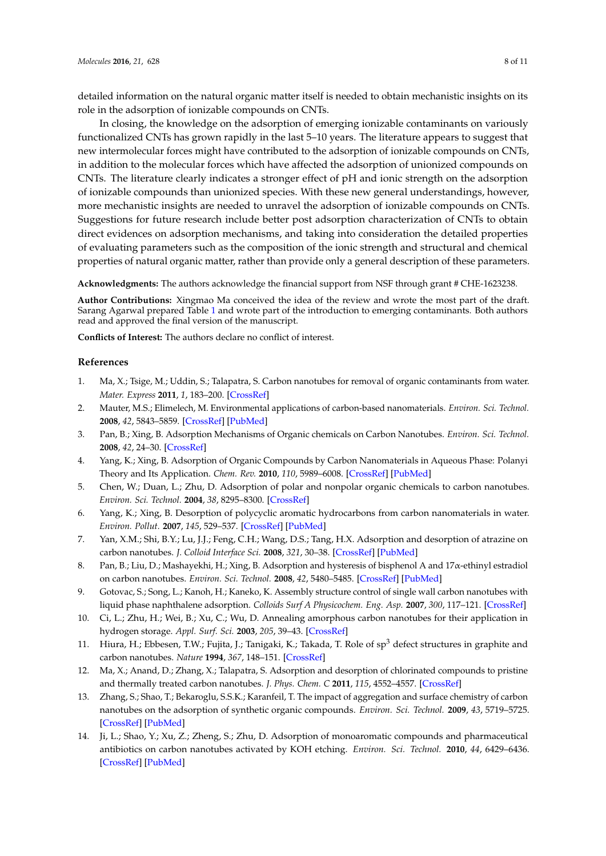detailed information on the natural organic matter itself is needed to obtain mechanistic insights on its role in the adsorption of ionizable compounds on CNTs.

In closing, the knowledge on the adsorption of emerging ionizable contaminants on variously functionalized CNTs has grown rapidly in the last 5–10 years. The literature appears to suggest that new intermolecular forces might have contributed to the adsorption of ionizable compounds on CNTs, in addition to the molecular forces which have affected the adsorption of unionized compounds on CNTs. The literature clearly indicates a stronger effect of pH and ionic strength on the adsorption of ionizable compounds than unionized species. With these new general understandings, however, more mechanistic insights are needed to unravel the adsorption of ionizable compounds on CNTs. Suggestions for future research include better post adsorption characterization of CNTs to obtain direct evidences on adsorption mechanisms, and taking into consideration the detailed properties of evaluating parameters such as the composition of the ionic strength and structural and chemical properties of natural organic matter, rather than provide only a general description of these parameters.

**Acknowledgments:** The authors acknowledge the financial support from NSF through grant # CHE-1623238.

**Author Contributions:** Xingmao Ma conceived the idea of the review and wrote the most part of the draft. Sarang Agarwal prepared Table [1](#page-4-0) and wrote part of the introduction to emerging contaminants. Both authors read and approved the final version of the manuscript.

**Conflicts of Interest:** The authors declare no conflict of interest.

# **References**

- <span id="page-7-0"></span>1. Ma, X.; Tsige, M.; Uddin, S.; Talapatra, S. Carbon nanotubes for removal of organic contaminants from water. *Mater. Express* **2011**, *1*, 183–200. [\[CrossRef\]](http://dx.doi.org/10.1166/mex.2011.1023)
- <span id="page-7-1"></span>2. Mauter, M.S.; Elimelech, M. Environmental applications of carbon-based nanomaterials. *Environ. Sci. Technol.* **2008**, *42*, 5843–5859. [\[CrossRef\]](http://dx.doi.org/10.1021/es8006904) [\[PubMed\]](http://www.ncbi.nlm.nih.gov/pubmed/18767635)
- <span id="page-7-2"></span>3. Pan, B.; Xing, B. Adsorption Mechanisms of Organic chemicals on Carbon Nanotubes. *Environ. Sci. Technol.* **2008**, *42*, 24–30. [\[CrossRef\]](http://dx.doi.org/10.1021/es801777n)
- <span id="page-7-3"></span>4. Yang, K.; Xing, B. Adsorption of Organic Compounds by Carbon Nanomaterials in Aqueous Phase: Polanyi Theory and Its Application. *Chem. Rev.* **2010**, *110*, 5989–6008. [\[CrossRef\]](http://dx.doi.org/10.1021/cr100059s) [\[PubMed\]](http://www.ncbi.nlm.nih.gov/pubmed/20518459)
- <span id="page-7-4"></span>5. Chen, W.; Duan, L.; Zhu, D. Adsorption of polar and nonpolar organic chemicals to carbon nanotubes. *Environ. Sci. Technol.* **2004**, *38*, 8295–8300. [\[CrossRef\]](http://dx.doi.org/10.1021/es071230h)
- 6. Yang, K.; Xing, B. Desorption of polycyclic aromatic hydrocarbons from carbon nanomaterials in water. *Environ. Pollut.* **2007**, *145*, 529–537. [\[CrossRef\]](http://dx.doi.org/10.1016/j.envpol.2006.04.020) [\[PubMed\]](http://www.ncbi.nlm.nih.gov/pubmed/16777283)
- 7. Yan, X.M.; Shi, B.Y.; Lu, J.J.; Feng, C.H.; Wang, D.S.; Tang, H.X. Adsorption and desorption of atrazine on carbon nanotubes. *J. Colloid Interface Sci.* **2008**, *321*, 30–38. [\[CrossRef\]](http://dx.doi.org/10.1016/j.jcis.2008.01.047) [\[PubMed\]](http://www.ncbi.nlm.nih.gov/pubmed/18294649)
- <span id="page-7-5"></span>8. Pan, B.; Liu, D.; Mashayekhi, H.; Xing, B. Adsorption and hysteresis of bisphenol A and 17α-ethinyl estradiol on carbon nanotubes. *Environ. Sci. Technol.* **2008**, *42*, 5480–5485. [\[CrossRef\]](http://dx.doi.org/10.1021/es8001184) [\[PubMed\]](http://www.ncbi.nlm.nih.gov/pubmed/18754464)
- <span id="page-7-6"></span>9. Gotovac, S.; Song, L.; Kanoh, H.; Kaneko, K. Assembly structure control of single wall carbon nanotubes with liquid phase naphthalene adsorption. *Colloids Surf A Physicochem. Eng. Asp.* **2007**, *300*, 117–121. [\[CrossRef\]](http://dx.doi.org/10.1016/j.colsurfa.2006.10.035)
- <span id="page-7-7"></span>10. Ci, L.; Zhu, H.; Wei, B.; Xu, C.; Wu, D. Annealing amorphous carbon nanotubes for their application in hydrogen storage. *Appl. Surf. Sci.* **2003**, *205*, 39–43. [\[CrossRef\]](http://dx.doi.org/10.1016/S0169-4332(02)00897-8)
- 11. Hiura, H.; Ebbesen, T.W.; Fujita, J.; Tanigaki, K.; Takada, T. Role of sp<sup>3</sup> defect structures in graphite and carbon nanotubes. *Nature* **1994**, *367*, 148–151. [\[CrossRef\]](http://dx.doi.org/10.1038/367148a0)
- <span id="page-7-8"></span>12. Ma, X.; Anand, D.; Zhang, X.; Talapatra, S. Adsorption and desorption of chlorinated compounds to pristine and thermally treated carbon nanotubes. *J. Phys. Chem. C* **2011**, *115*, 4552–4557. [\[CrossRef\]](http://dx.doi.org/10.1021/jp1117272)
- <span id="page-7-9"></span>13. Zhang, S.; Shao, T.; Bekaroglu, S.S.K.; Karanfeil, T. The impact of aggregation and surface chemistry of carbon nanotubes on the adsorption of synthetic organic compounds. *Environ. Sci. Technol.* **2009**, *43*, 5719–5725. [\[CrossRef\]](http://dx.doi.org/10.1021/es900453e) [\[PubMed\]](http://www.ncbi.nlm.nih.gov/pubmed/19731668)
- 14. Ji, L.; Shao, Y.; Xu, Z.; Zheng, S.; Zhu, D. Adsorption of monoaromatic compounds and pharmaceutical antibiotics on carbon nanotubes activated by KOH etching. *Environ. Sci. Technol.* **2010**, *44*, 6429–6436. [\[CrossRef\]](http://dx.doi.org/10.1021/es1014828) [\[PubMed\]](http://www.ncbi.nlm.nih.gov/pubmed/20704245)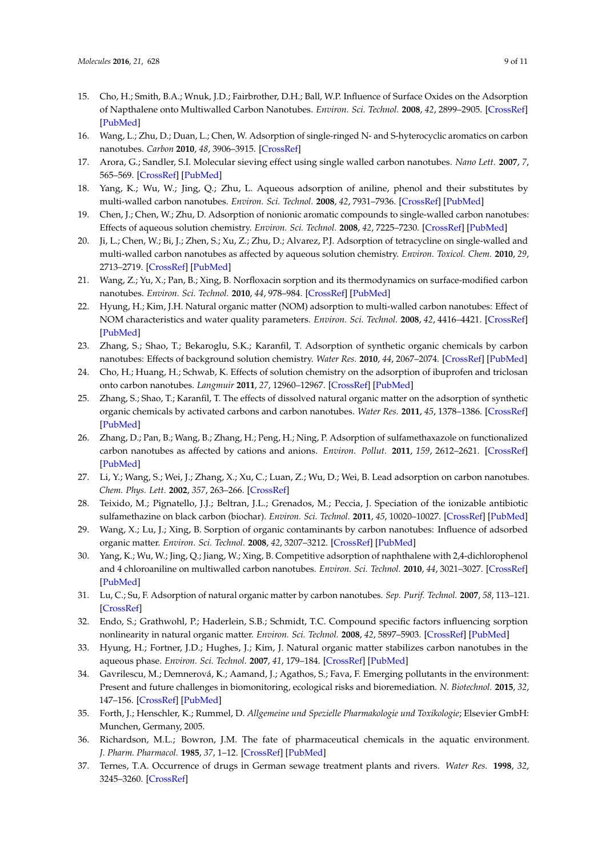- <span id="page-8-0"></span>15. Cho, H.; Smith, B.A.; Wnuk, J.D.; Fairbrother, D.H.; Ball, W.P. Influence of Surface Oxides on the Adsorption of Napthalene onto Multiwalled Carbon Nanotubes. *Environ. Sci. Technol.* **2008**, *42*, 2899–2905. [\[CrossRef\]](http://dx.doi.org/10.1021/es702363e) [\[PubMed\]](http://www.ncbi.nlm.nih.gov/pubmed/18497141)
- <span id="page-8-1"></span>16. Wang, L.; Zhu, D.; Duan, L.; Chen, W. Adsorption of single-ringed N- and S-hyterocyclic aromatics on carbon nanotubes. *Carbon* **2010**, *48*, 3906–3915. [\[CrossRef\]](http://dx.doi.org/10.1016/j.carbon.2010.06.057)
- 17. Arora, G.; Sandler, S.I. Molecular sieving effect using single walled carbon nanotubes. *Nano Lett.* **2007**, *7*, 565–569. [\[CrossRef\]](http://dx.doi.org/10.1021/nl062201s) [\[PubMed\]](http://www.ncbi.nlm.nih.gov/pubmed/17266382)
- <span id="page-8-2"></span>18. Yang, K.; Wu, W.; Jing, Q.; Zhu, L. Aqueous adsorption of aniline, phenol and their substitutes by multi-walled carbon nanotubes. *Environ. Sci. Technol.* **2008**, *42*, 7931–7936. [\[CrossRef\]](http://dx.doi.org/10.1021/es801463v) [\[PubMed\]](http://www.ncbi.nlm.nih.gov/pubmed/19031883)
- <span id="page-8-3"></span>19. Chen, J.; Chen, W.; Zhu, D. Adsorption of nonionic aromatic compounds to single-walled carbon nanotubes: Effects of aqueous solution chemistry. *Environ. Sci. Technol.* **2008**, *42*, 7225–7230. [\[CrossRef\]](http://dx.doi.org/10.1021/es801412j) [\[PubMed\]](http://www.ncbi.nlm.nih.gov/pubmed/18939550)
- <span id="page-8-17"></span>20. Ji, L.; Chen, W.; Bi, J.; Zhen, S.; Xu, Z.; Zhu, D.; Alvarez, P.J. Adsorption of tetracycline on single-walled and multi-walled carbon nanotubes as affected by aqueous solution chemistry. *Environ. Toxicol. Chem.* **2010**, *29*, 2713–2719. [\[CrossRef\]](http://dx.doi.org/10.1002/etc.350) [\[PubMed\]](http://www.ncbi.nlm.nih.gov/pubmed/20836069)
- 21. Wang, Z.; Yu, X.; Pan, B.; Xing, B. Norfloxacin sorption and its thermodynamics on surface-modified carbon nanotubes. *Environ. Sci. Technol.* **2010**, *44*, 978–984. [\[CrossRef\]](http://dx.doi.org/10.1021/es902775u) [\[PubMed\]](http://www.ncbi.nlm.nih.gov/pubmed/20030389)
- 22. Hyung, H.; Kim, J.H. Natural organic matter (NOM) adsorption to multi-walled carbon nanotubes: Effect of NOM characteristics and water quality parameters. *Environ. Sci. Technol.* **2008**, *42*, 4416–4421. [\[CrossRef\]](http://dx.doi.org/10.1021/es702916h) [\[PubMed\]](http://www.ncbi.nlm.nih.gov/pubmed/18605564)
- 23. Zhang, S.; Shao, T.; Bekaroglu, S.K.; Karanfil, T. Adsorption of synthetic organic chemicals by carbon nanotubes: Effects of background solution chemistry. *Water Res.* **2010**, *44*, 2067–2074. [\[CrossRef\]](http://dx.doi.org/10.1016/j.watres.2009.12.017) [\[PubMed\]](http://www.ncbi.nlm.nih.gov/pubmed/20071001)
- <span id="page-8-4"></span>24. Cho, H.; Huang, H.; Schwab, K. Effects of solution chemistry on the adsorption of ibuprofen and triclosan onto carbon nanotubes. *Langmuir* **2011**, *27*, 12960–12967. [\[CrossRef\]](http://dx.doi.org/10.1021/la202459g) [\[PubMed\]](http://www.ncbi.nlm.nih.gov/pubmed/21913654)
- <span id="page-8-5"></span>25. Zhang, S.; Shao, T.; Karanfil, T. The effects of dissolved natural organic matter on the adsorption of synthetic organic chemicals by activated carbons and carbon nanotubes. *Water Res.* **2011**, *45*, 1378–1386. [\[CrossRef\]](http://dx.doi.org/10.1016/j.watres.2010.10.023) [\[PubMed\]](http://www.ncbi.nlm.nih.gov/pubmed/21093009)
- <span id="page-8-6"></span>26. Zhang, D.; Pan, B.; Wang, B.; Zhang, H.; Peng, H.; Ning, P. Adsorption of sulfamethaxazole on functionalized carbon nanotubes as affected by cations and anions. *Environ. Pollut.* **2011**, *159*, 2612–2621. [\[CrossRef\]](http://dx.doi.org/10.1016/j.envpol.2011.05.036) [\[PubMed\]](http://www.ncbi.nlm.nih.gov/pubmed/21708418)
- <span id="page-8-7"></span>27. Li, Y.; Wang, S.; Wei, J.; Zhang, X.; Xu, C.; Luan, Z.; Wu, D.; Wei, B. Lead adsorption on carbon nanotubes. *Chem. Phys. Lett.* **2002**, *357*, 263–266. [\[CrossRef\]](http://dx.doi.org/10.1016/S0009-2614(02)00502-X)
- <span id="page-8-8"></span>28. Teixido, M.; Pignatello, J.J.; Beltran, J.L.; Grenados, M.; Peccia, J. Speciation of the ionizable antibiotic sulfamethazine on black carbon (biochar). *Environ. Sci. Technol.* **2011**, *45*, 10020–10027. [\[CrossRef\]](http://dx.doi.org/10.1021/es202487h) [\[PubMed\]](http://www.ncbi.nlm.nih.gov/pubmed/22026725)
- <span id="page-8-9"></span>29. Wang, X.; Lu, J.; Xing, B. Sorption of organic contaminants by carbon nanotubes: Influence of adsorbed organic matter. *Environ. Sci. Technol.* **2008**, *42*, 3207–3212. [\[CrossRef\]](http://dx.doi.org/10.1021/es702971g) [\[PubMed\]](http://www.ncbi.nlm.nih.gov/pubmed/18522095)
- 30. Yang, K.; Wu, W.; Jing, Q.; Jiang, W.; Xing, B. Competitive adsorption of naphthalene with 2,4-dichlorophenol and 4 chloroaniline on multiwalled carbon nanotubes. *Environ. Sci. Technol.* **2010**, *44*, 3021–3027. [\[CrossRef\]](http://dx.doi.org/10.1021/es100018a) [\[PubMed\]](http://www.ncbi.nlm.nih.gov/pubmed/20201557)
- <span id="page-8-10"></span>31. Lu, C.; Su, F. Adsorption of natural organic matter by carbon nanotubes. *Sep. Purif. Technol.* **2007**, *58*, 113–121. [\[CrossRef\]](http://dx.doi.org/10.1016/j.seppur.2007.07.036)
- <span id="page-8-11"></span>32. Endo, S.; Grathwohl, P.; Haderlein, S.B.; Schmidt, T.C. Compound specific factors influencing sorption nonlinearity in natural organic matter. *Environ. Sci. Technol.* **2008**, *42*, 5897–5903. [\[CrossRef\]](http://dx.doi.org/10.1021/es8001426) [\[PubMed\]](http://www.ncbi.nlm.nih.gov/pubmed/18767642)
- <span id="page-8-12"></span>33. Hyung, H.; Fortner, J.D.; Hughes, J.; Kim, J. Natural organic matter stabilizes carbon nanotubes in the aqueous phase. *Environ. Sci. Technol.* **2007**, *41*, 179–184. [\[CrossRef\]](http://dx.doi.org/10.1021/es061817g) [\[PubMed\]](http://www.ncbi.nlm.nih.gov/pubmed/17265945)
- <span id="page-8-13"></span>34. Gavrilescu, M.; Demnerová, K.; Aamand, J.; Agathos, S.; Fava, F. Emerging pollutants in the environment: Present and future challenges in biomonitoring, ecological risks and bioremediation. *N. Biotechnol.* **2015**, *32*, 147–156. [\[CrossRef\]](http://dx.doi.org/10.1016/j.nbt.2014.01.001) [\[PubMed\]](http://www.ncbi.nlm.nih.gov/pubmed/24462777)
- <span id="page-8-14"></span>35. Forth, J.; Henschler, K.; Rummel, D. *Allgemeine und Spezielle Pharmakologie und Toxikologie*; Elsevier GmbH: Munchen, Germany, 2005.
- <span id="page-8-15"></span>36. Richardson, M.L.; Bowron, J.M. The fate of pharmaceutical chemicals in the aquatic environment. *J. Pharm. Pharmacol.* **1985**, *37*, 1–12. [\[CrossRef\]](http://dx.doi.org/10.1111/j.2042-7158.1985.tb04922.x) [\[PubMed\]](http://www.ncbi.nlm.nih.gov/pubmed/2858520)
- <span id="page-8-16"></span>37. Ternes, T.A. Occurrence of drugs in German sewage treatment plants and rivers. *Water Res.* **1998**, *32*, 3245–3260. [\[CrossRef\]](http://dx.doi.org/10.1016/S0043-1354(98)00099-2)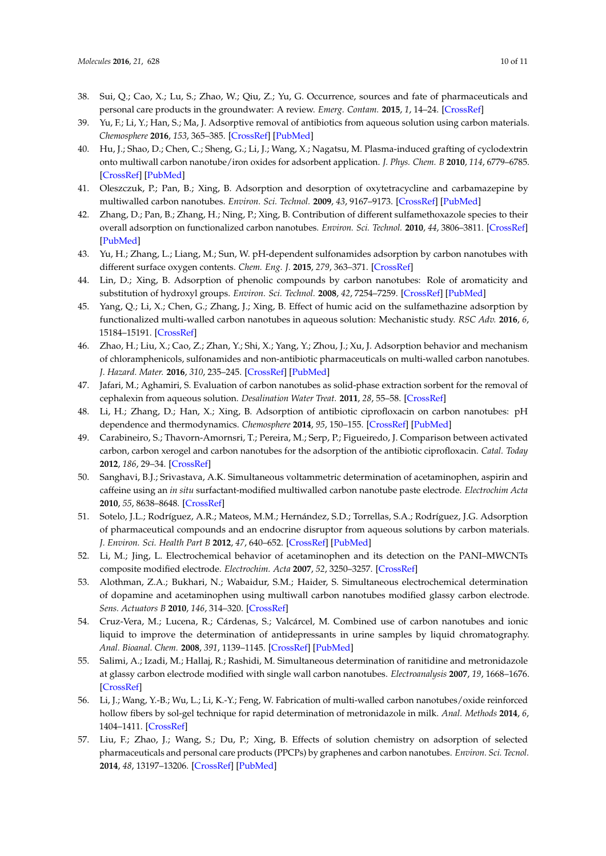- <span id="page-9-0"></span>38. Sui, Q.; Cao, X.; Lu, S.; Zhao, W.; Qiu, Z.; Yu, G. Occurrence, sources and fate of pharmaceuticals and personal care products in the groundwater: A review. *Emerg. Contam.* **2015**, *1*, 14–24. [\[CrossRef\]](http://dx.doi.org/10.1016/j.emcon.2015.07.001)
- <span id="page-9-1"></span>39. Yu, F.; Li, Y.; Han, S.; Ma, J. Adsorptive removal of antibiotics from aqueous solution using carbon materials. *Chemosphere* **2016**, *153*, 365–385. [\[CrossRef\]](http://dx.doi.org/10.1016/j.chemosphere.2016.03.083) [\[PubMed\]](http://www.ncbi.nlm.nih.gov/pubmed/27031800)
- <span id="page-9-2"></span>40. Hu, J.; Shao, D.; Chen, C.; Sheng, G.; Li, J.; Wang, X.; Nagatsu, M. Plasma-induced grafting of cyclodextrin onto multiwall carbon nanotube/iron oxides for adsorbent application. *J. Phys. Chem. B* **2010**, *114*, 6779–6785. [\[CrossRef\]](http://dx.doi.org/10.1021/jp911424k) [\[PubMed\]](http://www.ncbi.nlm.nih.gov/pubmed/20438087)
- <span id="page-9-3"></span>41. Oleszczuk, P.; Pan, B.; Xing, B. Adsorption and desorption of oxytetracycline and carbamazepine by multiwalled carbon nanotubes. *Environ. Sci. Technol.* **2009**, *43*, 9167–9173. [\[CrossRef\]](http://dx.doi.org/10.1021/es901928q) [\[PubMed\]](http://www.ncbi.nlm.nih.gov/pubmed/20000507)
- <span id="page-9-4"></span>42. Zhang, D.; Pan, B.; Zhang, H.; Ning, P.; Xing, B. Contribution of different sulfamethoxazole species to their overall adsorption on functionalized carbon nanotubes. *Environ. Sci. Technol.* **2010**, *44*, 3806–3811. [\[CrossRef\]](http://dx.doi.org/10.1021/es903851q) [\[PubMed\]](http://www.ncbi.nlm.nih.gov/pubmed/20394427)
- <span id="page-9-5"></span>43. Yu, H.; Zhang, L.; Liang, M.; Sun, W. pH-dependent sulfonamides adsorption by carbon nanotubes with different surface oxygen contents. *Chem. Eng. J.* **2015**, *279*, 363–371. [\[CrossRef\]](http://dx.doi.org/10.1016/j.cej.2015.05.044)
- <span id="page-9-6"></span>44. Lin, D.; Xing, B. Adsorption of phenolic compounds by carbon nanotubes: Role of aromaticity and substitution of hydroxyl groups. *Environ. Sci. Technol.* **2008**, *42*, 7254–7259. [\[CrossRef\]](http://dx.doi.org/10.1021/es801297u) [\[PubMed\]](http://www.ncbi.nlm.nih.gov/pubmed/18939555)
- <span id="page-9-7"></span>45. Yang, Q.; Li, X.; Chen, G.; Zhang, J.; Xing, B. Effect of humic acid on the sulfamethazine adsorption by functionalized multi-walled carbon nanotubes in aqueous solution: Mechanistic study. *RSC Adv.* **2016**, *6*, 15184–15191. [\[CrossRef\]](http://dx.doi.org/10.1039/C5RA26913J)
- <span id="page-9-8"></span>46. Zhao, H.; Liu, X.; Cao, Z.; Zhan, Y.; Shi, X.; Yang, Y.; Zhou, J.; Xu, J. Adsorption behavior and mechanism of chloramphenicols, sulfonamides and non-antibiotic pharmaceuticals on multi-walled carbon nanotubes. *J. Hazard. Mater.* **2016**, *310*, 235–245. [\[CrossRef\]](http://dx.doi.org/10.1016/j.jhazmat.2016.02.045) [\[PubMed\]](http://www.ncbi.nlm.nih.gov/pubmed/26937870)
- <span id="page-9-9"></span>47. Jafari, M.; Aghamiri, S. Evaluation of carbon nanotubes as solid-phase extraction sorbent for the removal of cephalexin from aqueous solution. *Desalination Water Treat.* **2011**, *28*, 55–58. [\[CrossRef\]](http://dx.doi.org/10.5004/dwt.2011.2200)
- <span id="page-9-10"></span>48. Li, H.; Zhang, D.; Han, X.; Xing, B. Adsorption of antibiotic ciprofloxacin on carbon nanotubes: pH dependence and thermodynamics. *Chemosphere* **2014**, *95*, 150–155. [\[CrossRef\]](http://dx.doi.org/10.1016/j.chemosphere.2013.08.053) [\[PubMed\]](http://www.ncbi.nlm.nih.gov/pubmed/24094774)
- <span id="page-9-11"></span>49. Carabineiro, S.; Thavorn-Amornsri, T.; Pereira, M.; Serp, P.; Figueiredo, J. Comparison between activated carbon, carbon xerogel and carbon nanotubes for the adsorption of the antibiotic ciprofloxacin. *Catal. Today* **2012**, *186*, 29–34. [\[CrossRef\]](http://dx.doi.org/10.1016/j.cattod.2011.08.020)
- <span id="page-9-12"></span>50. Sanghavi, B.J.; Srivastava, A.K. Simultaneous voltammetric determination of acetaminophen, aspirin and caffeine using an *in situ* surfactant-modified multiwalled carbon nanotube paste electrode. *Electrochim Acta* **2010**, *55*, 8638–8648. [\[CrossRef\]](http://dx.doi.org/10.1016/j.electacta.2010.07.093)
- <span id="page-9-13"></span>51. Sotelo, J.L.; Rodríguez, A.R.; Mateos, M.M.; Hernández, S.D.; Torrellas, S.A.; Rodríguez, J.G. Adsorption of pharmaceutical compounds and an endocrine disruptor from aqueous solutions by carbon materials. *J. Environ. Sci. Health Part B* **2012**, *47*, 640–652. [\[CrossRef\]](http://dx.doi.org/10.1080/03601234.2012.668462) [\[PubMed\]](http://www.ncbi.nlm.nih.gov/pubmed/22560026)
- <span id="page-9-14"></span>52. Li, M.; Jing, L. Electrochemical behavior of acetaminophen and its detection on the PANI–MWCNTs composite modified electrode. *Electrochim. Acta* **2007**, *52*, 3250–3257. [\[CrossRef\]](http://dx.doi.org/10.1016/j.electacta.2006.10.001)
- <span id="page-9-15"></span>53. Alothman, Z.A.; Bukhari, N.; Wabaidur, S.M.; Haider, S. Simultaneous electrochemical determination of dopamine and acetaminophen using multiwall carbon nanotubes modified glassy carbon electrode. *Sens. Actuators B* **2010**, *146*, 314–320. [\[CrossRef\]](http://dx.doi.org/10.1016/j.snb.2010.02.024)
- <span id="page-9-16"></span>54. Cruz-Vera, M.; Lucena, R.; Cárdenas, S.; Valcárcel, M. Combined use of carbon nanotubes and ionic liquid to improve the determination of antidepressants in urine samples by liquid chromatography. *Anal. Bioanal. Chem.* **2008**, *391*, 1139–1145. [\[CrossRef\]](http://dx.doi.org/10.1007/s00216-008-1871-9) [\[PubMed\]](http://www.ncbi.nlm.nih.gov/pubmed/18327676)
- <span id="page-9-17"></span>55. Salimi, A.; Izadi, M.; Hallaj, R.; Rashidi, M. Simultaneous determination of ranitidine and metronidazole at glassy carbon electrode modified with single wall carbon nanotubes. *Electroanalysis* **2007**, *19*, 1668–1676. [\[CrossRef\]](http://dx.doi.org/10.1002/elan.200703911)
- <span id="page-9-18"></span>56. Li, J.; Wang, Y.-B.; Wu, L.; Li, K.-Y.; Feng, W. Fabrication of multi-walled carbon nanotubes/oxide reinforced hollow fibers by sol-gel technique for rapid determination of metronidazole in milk. *Anal. Methods* **2014**, *6*, 1404–1411. [\[CrossRef\]](http://dx.doi.org/10.1039/c3ay41645c)
- <span id="page-9-19"></span>57. Liu, F.; Zhao, J.; Wang, S.; Du, P.; Xing, B. Effects of solution chemistry on adsorption of selected pharmaceuticals and personal care products (PPCPs) by graphenes and carbon nanotubes. *Environ. Sci. Tecnol.* **2014**, *48*, 13197–13206. [\[CrossRef\]](http://dx.doi.org/10.1021/es5034684) [\[PubMed\]](http://www.ncbi.nlm.nih.gov/pubmed/25353977)